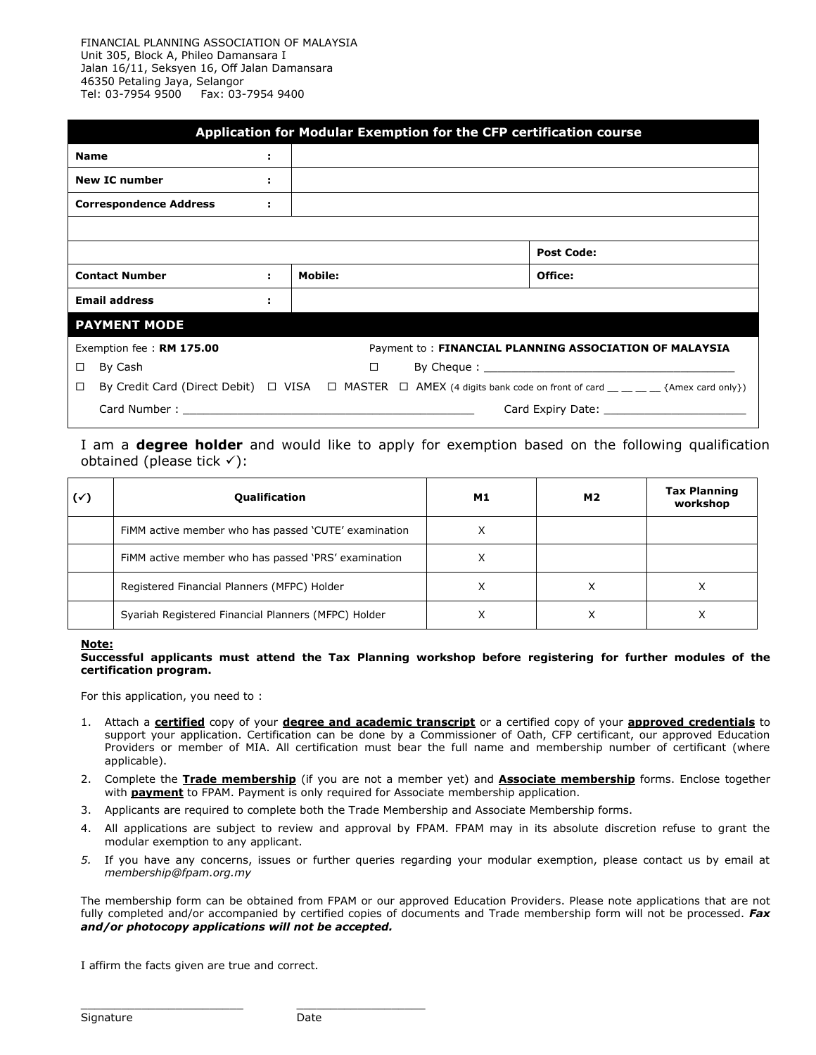FINANCIAL PLANNING ASSOCIATION OF MALAYSIA Unit 305, Block A, Phileo Damansara I Jalan 16/11, Seksyen 16, Off Jalan Damansara 46350 Petaling Jaya, Selangor Tel: 03-7954 9500 Fax: 03-7954 9400

|                               | Application for Modular Exemption for the CFP certification course |    |         |        |  |  |                                                                                                                                                 |  |  |  |  |
|-------------------------------|--------------------------------------------------------------------|----|---------|--------|--|--|-------------------------------------------------------------------------------------------------------------------------------------------------|--|--|--|--|
| <b>Name</b>                   |                                                                    | ÷  |         |        |  |  |                                                                                                                                                 |  |  |  |  |
| <b>New IC number</b>          |                                                                    | ÷. |         |        |  |  |                                                                                                                                                 |  |  |  |  |
| <b>Correspondence Address</b> |                                                                    | ÷. |         |        |  |  |                                                                                                                                                 |  |  |  |  |
|                               |                                                                    |    |         |        |  |  |                                                                                                                                                 |  |  |  |  |
|                               |                                                                    |    |         |        |  |  | <b>Post Code:</b>                                                                                                                               |  |  |  |  |
| <b>Contact Number</b>         |                                                                    | ÷. | Mobile: |        |  |  | Office:                                                                                                                                         |  |  |  |  |
| <b>Email address</b>          |                                                                    |    |         |        |  |  |                                                                                                                                                 |  |  |  |  |
|                               | <b>PAYMENT MODE</b>                                                |    |         |        |  |  |                                                                                                                                                 |  |  |  |  |
|                               | Exemption fee: RM 175.00                                           |    |         |        |  |  | Payment to: FINANCIAL PLANNING ASSOCIATION OF MALAYSIA                                                                                          |  |  |  |  |
| $\Box$                        | By Cash                                                            |    |         | $\Box$ |  |  |                                                                                                                                                 |  |  |  |  |
| $\Box$                        |                                                                    |    |         |        |  |  | By Credit Card (Direct Debit) $\Box$ VISA $\Box$ MASTER $\Box$ AMEX (4 digits bank code on front of card $\Box$ $\Box$ $\Box$ {Amex card only}) |  |  |  |  |
|                               | Card Expiry Date: The Card Expiry Date:                            |    |         |        |  |  |                                                                                                                                                 |  |  |  |  |

I am a **degree holder** and would like to apply for exemption based on the following qualification obtained (please tick  $\checkmark$ ):

| (✓) | <b>Qualification</b>                                 | M1 | <b>M2</b> | <b>Tax Planning</b><br>workshop |
|-----|------------------------------------------------------|----|-----------|---------------------------------|
|     | FIMM active member who has passed 'CUTE' examination | Χ  |           |                                 |
|     | FIMM active member who has passed 'PRS' examination  | х  |           |                                 |
|     | Registered Financial Planners (MFPC) Holder          | ⋏  | ⋏         |                                 |
|     | Syariah Registered Financial Planners (MFPC) Holder  | ∧  | ⋏         |                                 |

**Note:**

**Successful applicants must attend the Tax Planning workshop before registering for further modules of the certification program.**

For this application, you need to :

- 1. Attach a **certified** copy of your **degree and academic transcript** or a certified copy of your **approved credentials** to support your application. Certification can be done by a Commissioner of Oath, CFP certificant, our approved Education Providers or member of MIA. All certification must bear the full name and membership number of certificant (where applicable).
- 2. Complete the **Trade membership** (if you are not a member yet) and **Associate membership** forms. Enclose together with **payment** to FPAM. Payment is only required for Associate membership application.
- 3. Applicants are required to complete both the Trade Membership and Associate Membership forms.
- 4. All applications are subject to review and approval by FPAM. FPAM may in its absolute discretion refuse to grant the modular exemption to any applicant.
- *5.* If you have any concerns, issues or further queries regarding your modular exemption, please contact us by email at *membership@fpam.org.my*

The membership form can be obtained from FPAM or our approved Education Providers. Please note applications that are not fully completed and/or accompanied by certified copies of documents and Trade membership form will not be processed. *Fax and/or photocopy applications will not be accepted.*

I affirm the facts given are true and correct.

\_\_\_\_\_\_\_\_\_\_\_\_\_\_\_\_\_\_\_\_\_\_\_\_ \_\_\_\_\_\_\_\_\_\_\_\_\_\_\_\_\_\_\_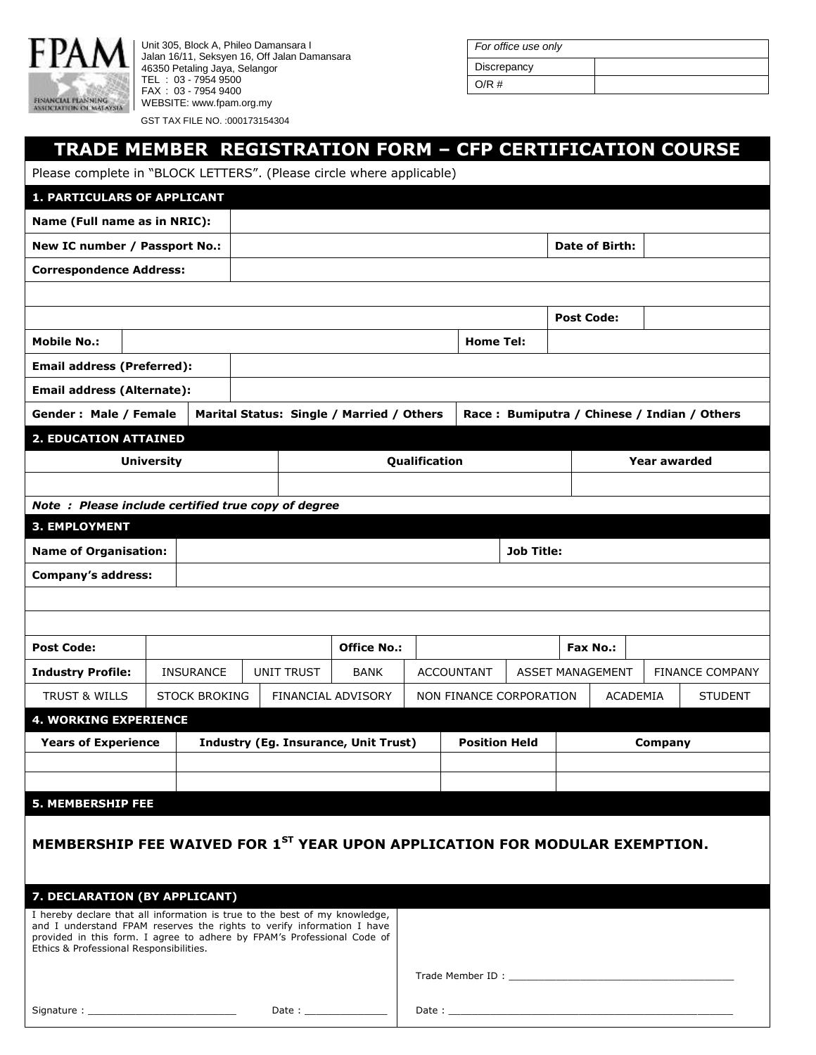

Unit 305, Block A, Phileo Damansara I Jalan 16/11, Seksyen 16, Off Jalan Damansara 46350 Petaling Jaya, Selangor TEL : 03 - 7954 9500 FAX : 03 - 7954 9400 WEBSITE: www.fpam.org.my GST TAX FILE NO. :000173154304

Signature : \_\_\_\_\_\_\_\_\_\_\_\_\_\_\_\_\_\_\_\_\_\_\_\_\_ Date : \_\_\_\_\_\_\_\_\_\_\_\_\_\_

| For office use only |  |
|---------------------|--|
| Discrepancy         |  |
| O/R#                |  |

## **TRADE MEMBER REGISTRATION FORM – CFP CERTIFICATION COURSE**

| Please complete in "BLOCK LETTERS". (Please circle where applicable)       |                                                                                                                                                                                              |  |                                             |                   |                                           |                         |                                                                                                                                                                                                                                |                   |                                             |                         |  |                        |  |
|----------------------------------------------------------------------------|----------------------------------------------------------------------------------------------------------------------------------------------------------------------------------------------|--|---------------------------------------------|-------------------|-------------------------------------------|-------------------------|--------------------------------------------------------------------------------------------------------------------------------------------------------------------------------------------------------------------------------|-------------------|---------------------------------------------|-------------------------|--|------------------------|--|
| <b>1. PARTICULARS OF APPLICANT</b>                                         |                                                                                                                                                                                              |  |                                             |                   |                                           |                         |                                                                                                                                                                                                                                |                   |                                             |                         |  |                        |  |
| Name (Full name as in NRIC):                                               |                                                                                                                                                                                              |  |                                             |                   |                                           |                         |                                                                                                                                                                                                                                |                   |                                             |                         |  |                        |  |
| New IC number / Passport No.:                                              |                                                                                                                                                                                              |  |                                             |                   |                                           |                         |                                                                                                                                                                                                                                |                   | Date of Birth:                              |                         |  |                        |  |
| <b>Correspondence Address:</b>                                             |                                                                                                                                                                                              |  |                                             |                   |                                           |                         |                                                                                                                                                                                                                                |                   |                                             |                         |  |                        |  |
|                                                                            |                                                                                                                                                                                              |  |                                             |                   |                                           |                         |                                                                                                                                                                                                                                |                   |                                             |                         |  |                        |  |
|                                                                            |                                                                                                                                                                                              |  |                                             |                   |                                           |                         |                                                                                                                                                                                                                                |                   | <b>Post Code:</b>                           |                         |  |                        |  |
| <b>Mobile No.:</b>                                                         |                                                                                                                                                                                              |  |                                             |                   |                                           |                         | <b>Home Tel:</b>                                                                                                                                                                                                               |                   |                                             |                         |  |                        |  |
| <b>Email address (Preferred):</b>                                          |                                                                                                                                                                                              |  |                                             |                   |                                           |                         |                                                                                                                                                                                                                                |                   |                                             |                         |  |                        |  |
| <b>Email address (Alternate):</b>                                          |                                                                                                                                                                                              |  |                                             |                   |                                           |                         |                                                                                                                                                                                                                                |                   |                                             |                         |  |                        |  |
| Gender: Male / Female                                                      |                                                                                                                                                                                              |  |                                             |                   | Marital Status: Single / Married / Others |                         |                                                                                                                                                                                                                                |                   | Race: Bumiputra / Chinese / Indian / Others |                         |  |                        |  |
| <b>2. EDUCATION ATTAINED</b>                                               |                                                                                                                                                                                              |  |                                             |                   |                                           |                         |                                                                                                                                                                                                                                |                   |                                             |                         |  |                        |  |
|                                                                            | <b>University</b>                                                                                                                                                                            |  |                                             |                   |                                           | Qualification           |                                                                                                                                                                                                                                |                   |                                             | <b>Year awarded</b>     |  |                        |  |
|                                                                            |                                                                                                                                                                                              |  |                                             |                   |                                           |                         |                                                                                                                                                                                                                                |                   |                                             |                         |  |                        |  |
| Note: Please include certified true copy of degree                         |                                                                                                                                                                                              |  |                                             |                   |                                           |                         |                                                                                                                                                                                                                                |                   |                                             |                         |  |                        |  |
| 3. EMPLOYMENT                                                              |                                                                                                                                                                                              |  |                                             |                   |                                           |                         |                                                                                                                                                                                                                                |                   |                                             |                         |  |                        |  |
| <b>Name of Organisation:</b>                                               |                                                                                                                                                                                              |  |                                             |                   |                                           |                         |                                                                                                                                                                                                                                | <b>Job Title:</b> |                                             |                         |  |                        |  |
| <b>Company's address:</b>                                                  |                                                                                                                                                                                              |  |                                             |                   |                                           |                         |                                                                                                                                                                                                                                |                   |                                             |                         |  |                        |  |
|                                                                            |                                                                                                                                                                                              |  |                                             |                   |                                           |                         |                                                                                                                                                                                                                                |                   |                                             |                         |  |                        |  |
|                                                                            |                                                                                                                                                                                              |  |                                             |                   |                                           |                         |                                                                                                                                                                                                                                |                   |                                             |                         |  |                        |  |
| <b>Post Code:</b>                                                          |                                                                                                                                                                                              |  |                                             |                   | <b>Office No.:</b>                        |                         |                                                                                                                                                                                                                                |                   |                                             | <b>Fax No.:</b>         |  |                        |  |
| <b>Industry Profile:</b>                                                   | <b>INSURANCE</b>                                                                                                                                                                             |  |                                             | <b>UNIT TRUST</b> | <b>BANK</b>                               |                         | <b>ACCOUNTANT</b>                                                                                                                                                                                                              |                   |                                             | <b>ASSET MANAGEMENT</b> |  | <b>FINANCE COMPANY</b> |  |
| <b>TRUST &amp; WILLS</b>                                                   | <b>STOCK BROKING</b>                                                                                                                                                                         |  |                                             |                   | FINANCIAL ADVISORY                        | NON FINANCE CORPORATION |                                                                                                                                                                                                                                |                   | ACADEMIA                                    |                         |  | <b>STUDENT</b>         |  |
| <b>4. WORKING EXPERIENCE</b>                                               |                                                                                                                                                                                              |  |                                             |                   |                                           |                         |                                                                                                                                                                                                                                |                   |                                             |                         |  |                        |  |
| <b>Years of Experience</b>                                                 |                                                                                                                                                                                              |  | <b>Industry (Eg. Insurance, Unit Trust)</b> |                   |                                           |                         | <b>Position Held</b>                                                                                                                                                                                                           |                   |                                             | <b>Company</b>          |  |                        |  |
|                                                                            |                                                                                                                                                                                              |  |                                             |                   |                                           |                         |                                                                                                                                                                                                                                |                   |                                             |                         |  |                        |  |
| <b>5. MEMBERSHIP FEE</b>                                                   |                                                                                                                                                                                              |  |                                             |                   |                                           |                         |                                                                                                                                                                                                                                |                   |                                             |                         |  |                        |  |
|                                                                            |                                                                                                                                                                                              |  |                                             |                   |                                           |                         |                                                                                                                                                                                                                                |                   |                                             |                         |  |                        |  |
|                                                                            | MEMBERSHIP FEE WAIVED FOR 1ST YEAR UPON APPLICATION FOR MODULAR EXEMPTION.                                                                                                                   |  |                                             |                   |                                           |                         |                                                                                                                                                                                                                                |                   |                                             |                         |  |                        |  |
|                                                                            |                                                                                                                                                                                              |  |                                             |                   |                                           |                         |                                                                                                                                                                                                                                |                   |                                             |                         |  |                        |  |
| 7. DECLARATION (BY APPLICANT)                                              |                                                                                                                                                                                              |  |                                             |                   |                                           |                         |                                                                                                                                                                                                                                |                   |                                             |                         |  |                        |  |
| I hereby declare that all information is true to the best of my knowledge, |                                                                                                                                                                                              |  |                                             |                   |                                           |                         |                                                                                                                                                                                                                                |                   |                                             |                         |  |                        |  |
|                                                                            | and I understand FPAM reserves the rights to verify information I have<br>provided in this form. I agree to adhere by FPAM's Professional Code of<br>Ethics & Professional Responsibilities. |  |                                             |                   |                                           |                         |                                                                                                                                                                                                                                |                   |                                             |                         |  |                        |  |
|                                                                            |                                                                                                                                                                                              |  |                                             |                   |                                           |                         |                                                                                                                                                                                                                                |                   |                                             |                         |  |                        |  |
|                                                                            |                                                                                                                                                                                              |  |                                             |                   |                                           |                         | Trade Member ID: Network and Separate and Separate and Separate and Separate and Separate and Separate and Separate and Separate and Separate and Separate and Separate and Separate and Separate and Separate and Separate an |                   |                                             |                         |  |                        |  |

Date :  $\_\_$